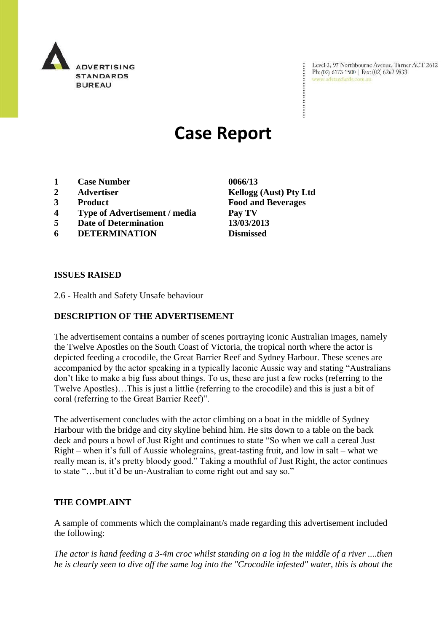

Level 2, 97 Northbourne Avenue, Turner ACT 2612 Ph: (02) 6173 1500 | Fax: (02) 6262 9833 www.adstandards.com.au

# **Case Report**

- **1 Case Number 0066/13**
- **2 Advertiser Kellogg (Aust) Pty Ltd**
- 
- **4 Type of Advertisement / media Pay TV**
- **5 Date of Determination 13/03/2013**
- **6 DETERMINATION Dismissed**

**3 Product Food and Beverages**

### **ISSUES RAISED**

2.6 - Health and Safety Unsafe behaviour

## **DESCRIPTION OF THE ADVERTISEMENT**

The advertisement contains a number of scenes portraying iconic Australian images, namely the Twelve Apostles on the South Coast of Victoria, the tropical north where the actor is depicted feeding a crocodile, the Great Barrier Reef and Sydney Harbour. These scenes are accompanied by the actor speaking in a typically laconic Aussie way and stating "Australians don"t like to make a big fuss about things. To us, these are just a few rocks (referring to the Twelve Apostles)…This is just a littlie (referring to the crocodile) and this is just a bit of coral (referring to the Great Barrier Reef)".

The advertisement concludes with the actor climbing on a boat in the middle of Sydney Harbour with the bridge and city skyline behind him. He sits down to a table on the back deck and pours a bowl of Just Right and continues to state "So when we call a cereal Just Right – when it"s full of Aussie wholegrains, great-tasting fruit, and low in salt – what we really mean is, it's pretty bloody good." Taking a mouthful of Just Right, the actor continues to state "...but it'd be un-Australian to come right out and say so."

#### **THE COMPLAINT**

A sample of comments which the complainant/s made regarding this advertisement included the following:

*The actor is hand feeding a 3-4m croc whilst standing on a log in the middle of a river ....then he is clearly seen to dive off the same log into the "Crocodile infested" water, this is about the*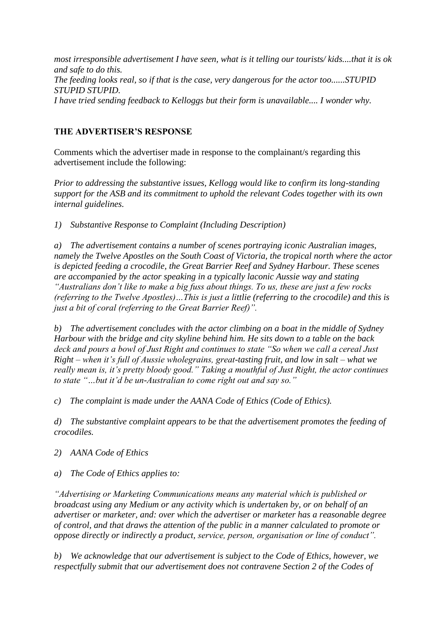*most irresponsible advertisement I have seen, what is it telling our tourists/ kids....that it is ok and safe to do this. The feeding looks real, so if that is the case, very dangerous for the actor too......STUPID STUPID STUPID. I have tried sending feedback to Kelloggs but their form is unavailable.... I wonder why.*

# **THE ADVERTISER'S RESPONSE**

Comments which the advertiser made in response to the complainant/s regarding this advertisement include the following:

*Prior to addressing the substantive issues, Kellogg would like to confirm its long-standing support for the ASB and its commitment to uphold the relevant Codes together with its own internal guidelines.*

*1) Substantive Response to Complaint (Including Description)*

*a) The advertisement contains a number of scenes portraying iconic Australian images, namely the Twelve Apostles on the South Coast of Victoria, the tropical north where the actor is depicted feeding a crocodile, the Great Barrier Reef and Sydney Harbour. These scenes are accompanied by the actor speaking in a typically laconic Aussie way and stating "Australians don't like to make a big fuss about things. To us, these are just a few rocks (referring to the Twelve Apostles)…This is just a littlie (referring to the crocodile) and this is just a bit of coral (referring to the Great Barrier Reef)".* 

*b) The advertisement concludes with the actor climbing on a boat in the middle of Sydney Harbour with the bridge and city skyline behind him. He sits down to a table on the back deck and pours a bowl of Just Right and continues to state "So when we call a cereal Just Right – when it's full of Aussie wholegrains, great-tasting fruit, and low in salt – what we really mean is, it's pretty bloody good." Taking a mouthful of Just Right, the actor continues to state "…but it'd be un-Australian to come right out and say so."* 

*c) The complaint is made under the AANA Code of Ethics (Code of Ethics).*

*d) The substantive complaint appears to be that the advertisement promotes the feeding of crocodiles.* 

*2) AANA Code of Ethics* 

*a) The Code of Ethics applies to:*

*"Advertising or Marketing Communications means any material which is published or broadcast using any Medium or any activity which is undertaken by, or on behalf of an advertiser or marketer, and: over which the advertiser or marketer has a reasonable degree of control, and that draws the attention of the public in a manner calculated to promote or oppose directly or indirectly a product, service, person, organisation or line of conduct".*

*b) We acknowledge that our advertisement is subject to the Code of Ethics, however, we respectfully submit that our advertisement does not contravene Section 2 of the Codes of*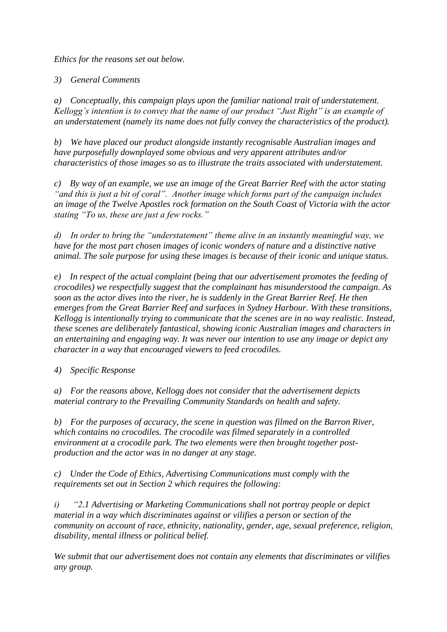*Ethics for the reasons set out below.*

*3) General Comments*

*a) Conceptually, this campaign plays upon the familiar national trait of understatement. Kellogg's intention is to convey that the name of our product "Just Right" is an example of an understatement (namely its name does not fully convey the characteristics of the product).*

*b) We have placed our product alongside instantly recognisable Australian images and have purposefully downplayed some obvious and very apparent attributes and/or characteristics of those images so as to illustrate the traits associated with understatement.*

*c) By way of an example, we use an image of the Great Barrier Reef with the actor stating "and this is just a bit of coral". Another image which forms part of the campaign includes an image of the Twelve Apostles rock formation on the South Coast of Victoria with the actor stating "To us, these are just a few rocks."* 

*d) In order to bring the "understatement" theme alive in an instantly meaningful way, we have for the most part chosen images of iconic wonders of nature and a distinctive native animal. The sole purpose for using these images is because of their iconic and unique status.* 

*e) In respect of the actual complaint (being that our advertisement promotes the feeding of crocodiles) we respectfully suggest that the complainant has misunderstood the campaign. As soon as the actor dives into the river, he is suddenly in the Great Barrier Reef. He then emerges from the Great Barrier Reef and surfaces in Sydney Harbour. With these transitions, Kellogg is intentionally trying to communicate that the scenes are in no way realistic. Instead, these scenes are deliberately fantastical, showing iconic Australian images and characters in an entertaining and engaging way. It was never our intention to use any image or depict any character in a way that encouraged viewers to feed crocodiles.*

*4) Specific Response*

*a) For the reasons above, Kellogg does not consider that the advertisement depicts material contrary to the Prevailing Community Standards on health and safety.* 

*b) For the purposes of accuracy, the scene in question was filmed on the Barron River, which contains no crocodiles. The crocodile was filmed separately in a controlled environment at a crocodile park. The two elements were then brought together postproduction and the actor was in no danger at any stage.* 

*c) Under the Code of Ethics, Advertising Communications must comply with the requirements set out in Section 2 which requires the following:* 

*i) "2.1 Advertising or Marketing Communications shall not portray people or depict material in a way which discriminates against or vilifies a person or section of the community on account of race, ethnicity, nationality, gender, age, sexual preference, religion, disability, mental illness or political belief.* 

*We submit that our advertisement does not contain any elements that discriminates or vilifies any group.*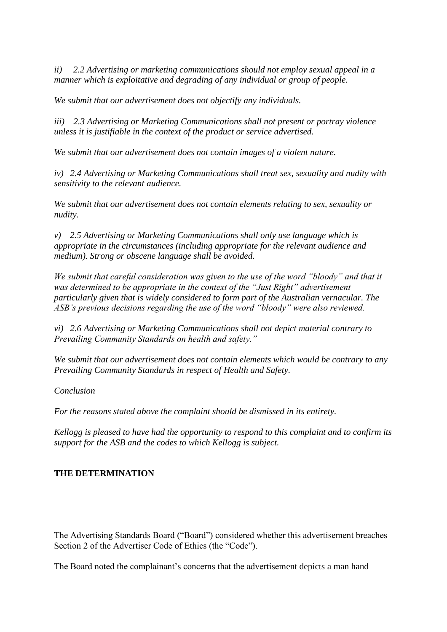*ii) 2.2 Advertising or marketing communications should not employ sexual appeal in a manner which is exploitative and degrading of any individual or group of people.* 

*We submit that our advertisement does not objectify any individuals.*

*iii) 2.3 Advertising or Marketing Communications shall not present or portray violence unless it is justifiable in the context of the product or service advertised.* 

*We submit that our advertisement does not contain images of a violent nature.* 

*iv) 2.4 Advertising or Marketing Communications shall treat sex, sexuality and nudity with sensitivity to the relevant audience.* 

*We submit that our advertisement does not contain elements relating to sex, sexuality or nudity.*

*v) 2.5 Advertising or Marketing Communications shall only use language which is appropriate in the circumstances (including appropriate for the relevant audience and medium). Strong or obscene language shall be avoided.*

*We submit that careful consideration was given to the use of the word "bloody" and that it was determined to be appropriate in the context of the "Just Right" advertisement particularly given that is widely considered to form part of the Australian vernacular. The ASB's previous decisions regarding the use of the word "bloody" were also reviewed.* 

*vi) 2.6 Advertising or Marketing Communications shall not depict material contrary to Prevailing Community Standards on health and safety."*

*We submit that our advertisement does not contain elements which would be contrary to any Prevailing Community Standards in respect of Health and Safety.* 

*Conclusion*

*For the reasons stated above the complaint should be dismissed in its entirety.* 

*Kellogg is pleased to have had the opportunity to respond to this complaint and to confirm its support for the ASB and the codes to which Kellogg is subject.*

## **THE DETERMINATION**

The Advertising Standards Board ("Board") considered whether this advertisement breaches Section 2 of the Advertiser Code of Ethics (the "Code").

The Board noted the complainant's concerns that the advertisement depicts a man hand